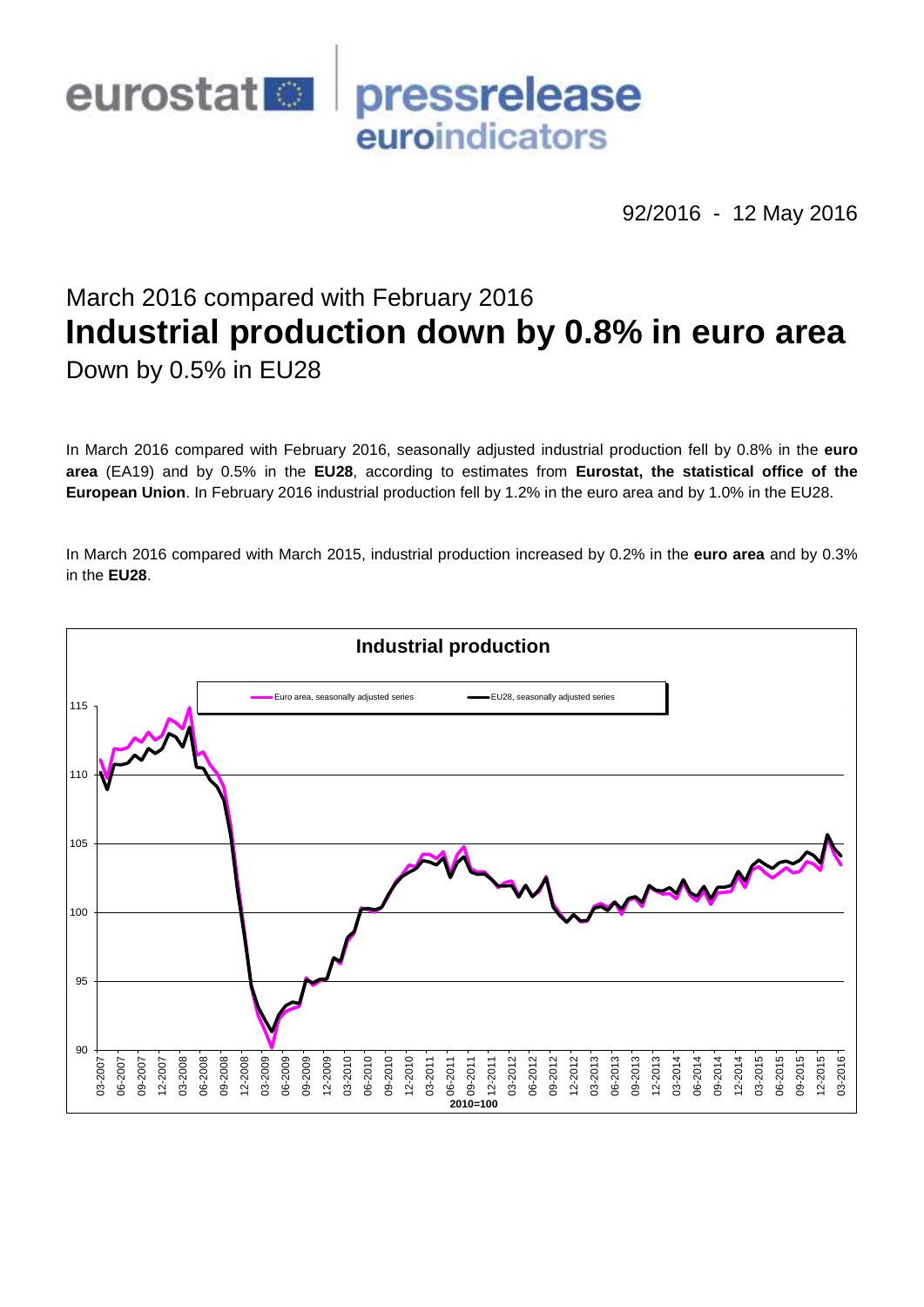

92/2016 - 12 May 2016

# March 2016 compared with February 2016 **Industrial production down by 0.8% in euro area**

Down by 0.5% in EU28

In March 2016 compared with February 2016, seasonally adjusted industrial production fell by 0.8% in the **euro area** (EA19) and by 0.5% in the **EU28**, according to estimates from **Eurostat, the statistical office of the European Union**. In February 2016 industrial production fell by 1.2% in the euro area and by 1.0% in the EU28.

In March 2016 compared with March 2015, industrial production increased by 0.2% in the **euro area** and by 0.3% in the **EU28**.

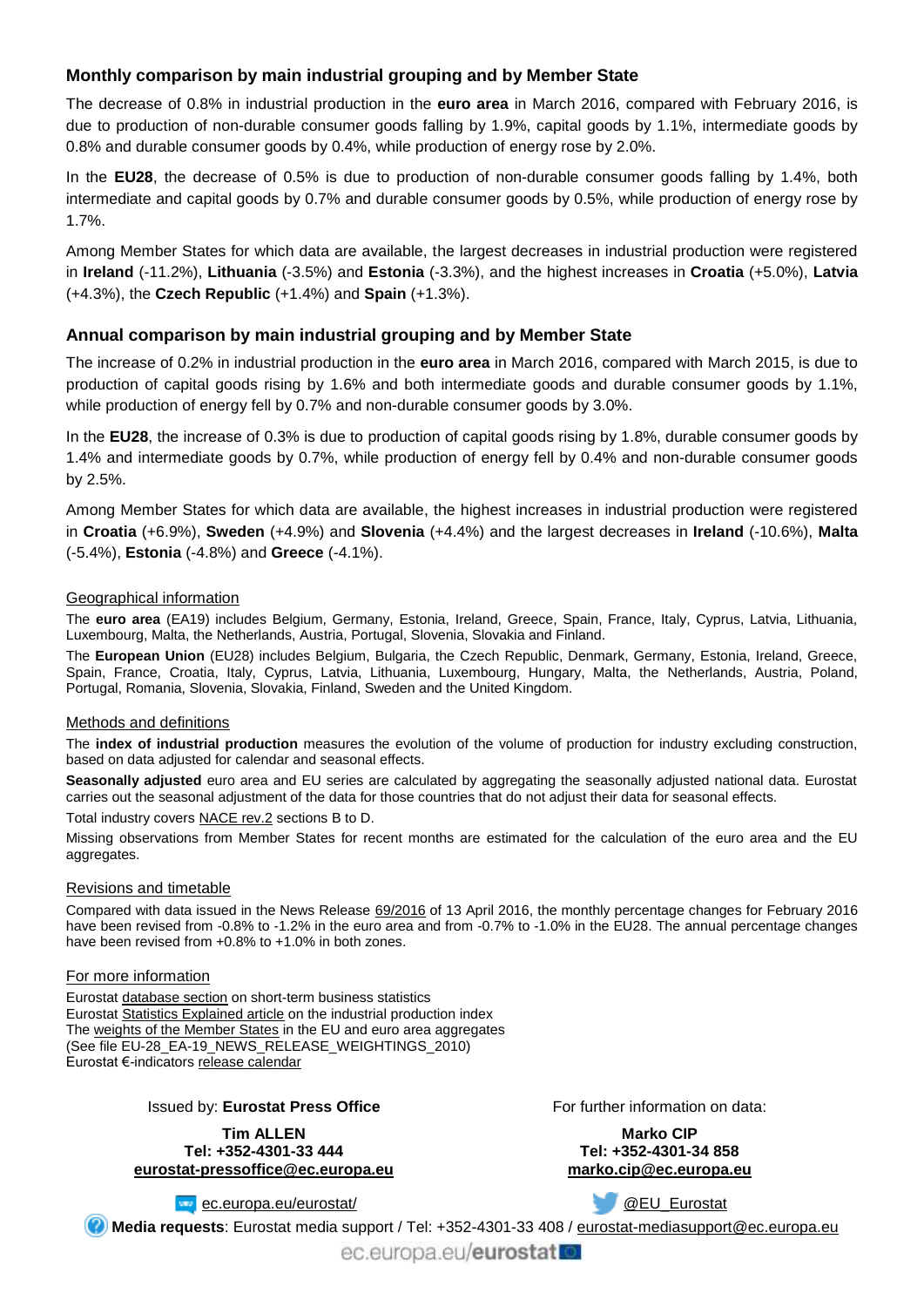## **Monthly comparison by main industrial grouping and by Member State**

The decrease of 0.8% in industrial production in the **euro area** in March 2016, compared with February 2016, is due to production of non-durable consumer goods falling by 1.9%, capital goods by 1.1%, intermediate goods by 0.8% and durable consumer goods by 0.4%, while production of energy rose by 2.0%.

In the **EU28**, the decrease of 0.5% is due to production of non-durable consumer goods falling by 1.4%, both intermediate and capital goods by 0.7% and durable consumer goods by 0.5%, while production of energy rose by 1.7%.

Among Member States for which data are available, the largest decreases in industrial production were registered in **Ireland** (-11.2%), **Lithuania** (-3.5%) and **Estonia** (-3.3%), and the highest increases in **Croatia** (+5.0%), **Latvia** (+4.3%), the **Czech Republic** (+1.4%) and **Spain** (+1.3%).

## **Annual comparison by main industrial grouping and by Member State**

The increase of 0.2% in industrial production in the **euro area** in March 2016, compared with March 2015, is due to production of capital goods rising by 1.6% and both intermediate goods and durable consumer goods by 1.1%, while production of energy fell by 0.7% and non-durable consumer goods by 3.0%.

In the **EU28**, the increase of 0.3% is due to production of capital goods rising by 1.8%, durable consumer goods by 1.4% and intermediate goods by 0.7%, while production of energy fell by 0.4% and non-durable consumer goods by 2.5%.

Among Member States for which data are available, the highest increases in industrial production were registered in **Croatia** (+6.9%), **Sweden** (+4.9%) and **Slovenia** (+4.4%) and the largest decreases in **Ireland** (-10.6%), **Malta** (-5.4%), **Estonia** (-4.8%) and **Greece** (-4.1%).

#### Geographical information

The **euro area** (EA19) includes Belgium, Germany, Estonia, Ireland, Greece, Spain, France, Italy, Cyprus, Latvia, Lithuania, Luxembourg, Malta, the Netherlands, Austria, Portugal, Slovenia, Slovakia and Finland.

The **European Union** (EU28) includes Belgium, Bulgaria, the Czech Republic, Denmark, Germany, Estonia, Ireland, Greece, Spain, France, Croatia, Italy, Cyprus, Latvia, Lithuania, Luxembourg, Hungary, Malta, the Netherlands, Austria, Poland, Portugal, Romania, Slovenia, Slovakia, Finland, Sweden and the United Kingdom.

#### Methods and definitions

The **index of industrial production** measures the evolution of the volume of production for industry excluding construction, based on data adjusted for calendar and seasonal effects.

**Seasonally adjusted** euro area and EU series are calculated by aggregating the seasonally adjusted national data. Eurostat carries out the seasonal adjustment of the data for those countries that do not adjust their data for seasonal effects.

Total industry covers [NACE rev.2](http://ec.europa.eu/eurostat/ramon/nomenclatures/index.cfm?TargetUrl=LST_NOM_DTL&StrNom=NACE_REV2&StrLanguageCode=EN&IntPcKey=&StrLayoutCode=HIERARCHIC) sections B to D.

Missing observations from Member States for recent months are estimated for the calculation of the euro area and the EU aggregates.

#### Revisions and timetable

Compared with data issued in the News Release [69/2016](http://ec.europa.eu/eurostat/documents/2995521/7231163/4-13042016-AP-EN.pdf/3c854dcd-fed1-4af3-a40f-3be0aa53b444) of 13 April 2016, the monthly percentage changes for February 2016 have been revised from -0.8% to -1.2% in the euro area and from -0.7% to -1.0% in the EU28. The annual percentage changes have been revised from +0.8% to +1.0% in both zones.

#### For more information

Eurosta[t database section](http://ec.europa.eu/eurostat/web/short-term-business-statistics/data/database) on short-term business statistics Eurosta[t Statistics Explained article](http://ec.europa.eu/eurostat/statistics-explained/index.php/Industrial_production_(volume)_index_overview) on the industrial production index Th[e weights of the Member States](https://circabc.europa.eu/w/browse/5e6d1e48-056c-4c6a-8278-3ab138bcf575) in the EU and euro area aggregates (See file EU-28\_EA-19\_NEWS\_RELEASE\_WEIGHTINGS\_2010) Eurostat €-indicator[s release calendar](http://ec.europa.eu/eurostat/news/release-calendar)

### Issued by: **Eurostat Press Office**

**Tim ALLEN Tel: +352-4301-33 444 [eurostat-pressoffice@ec.europa.eu](mailto:eurostat-pressoffice@ec.europa.eu)** For further information on data:

**Marko CIP Tel: +352-4301-34 858 [marko.cip@ec.europa.eu](mailto:marko.cip@ec.europa.eu)**

**[ec.europa.eu/eurostat/](http://ec.europa.eu/eurostat/)** 

**C** @EU Eurostat

**Media requests**: Eurostat media support / Tel: +352-4301-33 408 / [eurostat-mediasupport@ec.europa.eu](mailto:eurostat-mediasupport@ec.europa.eu)

ec.europa.eu/eurostat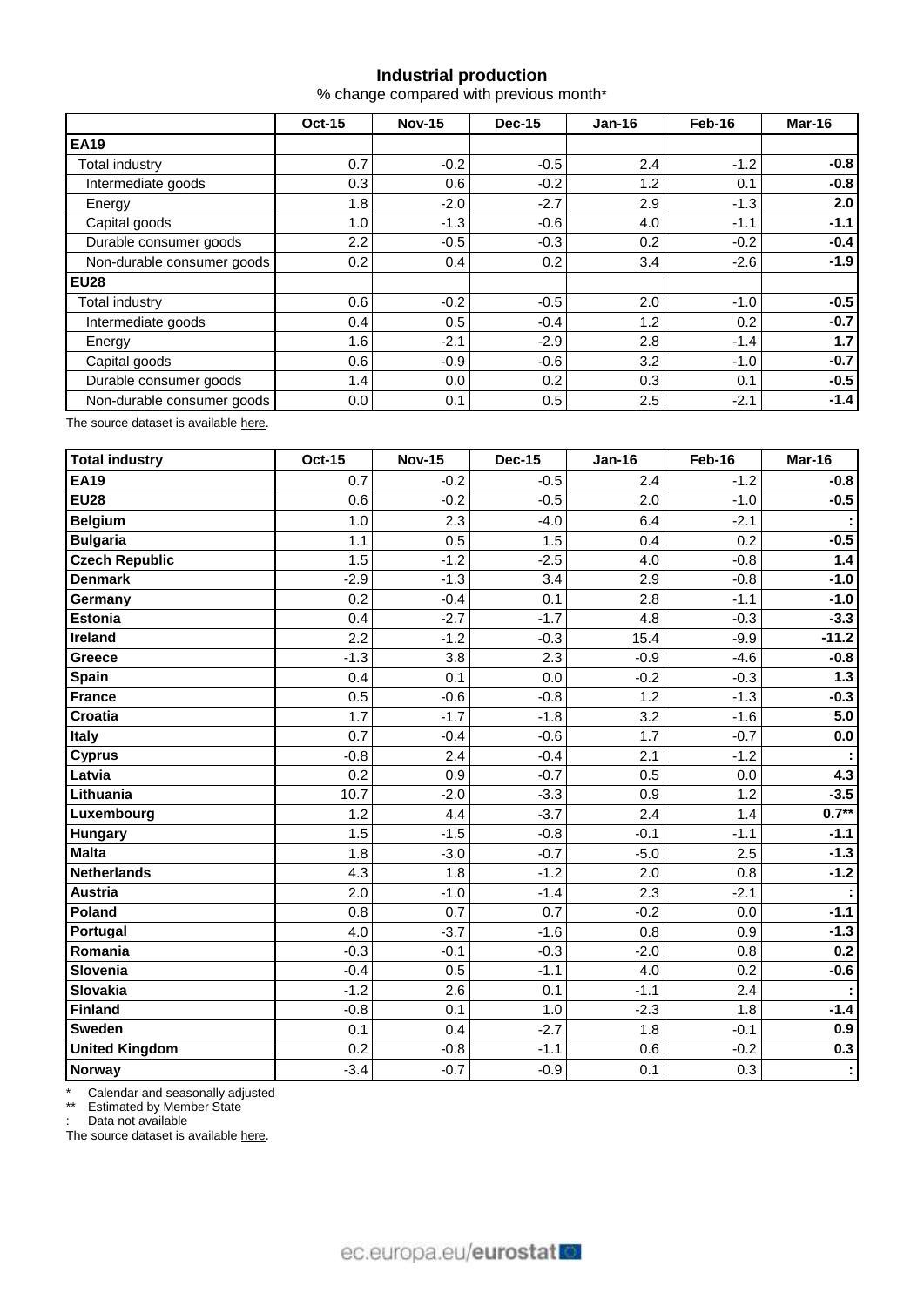## **Industrial production**

% change compared with previous month\*

|                            | <b>Oct-15</b> | <b>Nov-15</b> | Dec-15 | $Jan-16$ | Feb-16 | Mar-16 |  |
|----------------------------|---------------|---------------|--------|----------|--------|--------|--|
| <b>EA19</b>                |               |               |        |          |        |        |  |
| Total industry             | 0.7           | $-0.2$        | $-0.5$ | 2.4      | $-1.2$ | $-0.8$ |  |
| Intermediate goods         | 0.3           | 0.6           | $-0.2$ | 1.2      | 0.1    | $-0.8$ |  |
| Energy                     | 1.8           | $-2.0$        | $-2.7$ | 2.9      | $-1.3$ | 2.0    |  |
| Capital goods              | 1.0           | $-1.3$        | $-0.6$ | 4.0      | $-1.1$ | $-1.1$ |  |
| Durable consumer goods     | 2.2           | $-0.5$        | $-0.3$ | 0.2      | $-0.2$ | $-0.4$ |  |
| Non-durable consumer goods | 0.2           | 0.4           | 0.2    | 3.4      | $-2.6$ | $-1.9$ |  |
| <b>EU28</b>                |               |               |        |          |        |        |  |
| Total industry             | 0.6           | $-0.2$        | $-0.5$ | 2.0      | $-1.0$ | $-0.5$ |  |
| Intermediate goods         | 0.4           | 0.5           | $-0.4$ | 1.2      | 0.2    | $-0.7$ |  |
| Energy                     | 1.6           | $-2.1$        | $-2.9$ | 2.8      | $-1.4$ | 1.7    |  |
| Capital goods              | 0.6           | $-0.9$        | $-0.6$ | 3.2      | $-1.0$ | $-0.7$ |  |
| Durable consumer goods     | 1.4           | 0.0           | 0.2    | 0.3      | 0.1    | $-0.5$ |  |
| Non-durable consumer goods | $0.0\,$       | 0.1           | 0.5    | 2.5      | $-2.1$ | $-1.4$ |  |

The source dataset is available [here.](http://appsso.eurostat.ec.europa.eu/nui/show.do?query=BOOKMARK_DS-069583_QID_-53045BCF_UID_-3F171EB0&layout=TIME,C,X,0;GEO,L,Y,0;NACE_R2,L,Y,1;INDIC_BT,L,Z,0;S_ADJ,L,Z,1;UNIT,L,Z,2;INDICATORS,C,Z,3;&zSelection=DS-069583UNIT,PCH_PRE;DS-069583S_ADJ,SCA;DS-069583INDIC_BT,PROD;DS-069583INDICATORS,OBS_FLAG;&rankName1=UNIT_1_2_-1_2&rankName2=INDIC-BT_1_2_-1_2&rankName3=INDICATORS_1_2_-1_2&rankName4=S-ADJ_1_2_-1_2&rankName5=TIME_1_0_0_0&rankName6=GEO_1_0_0_1&rankName7=NACE-R2_1_2_1_1&sortR=ASC_-1_FIRST&sortC=ASC_-1_FIRST&rStp=&cStp=&rDCh=&cDCh=&rDM=true&cDM=true&footnes=false&empty=false&wai=false&time_mode=ROLLING&time_most_recent=true&lang=EN&cfo=%23%23%23%2C%23%23%23.%23%23%23)

| Total industry        | <b>Oct-15</b> | <b>Nov-15</b> | <b>Dec-15</b> | <b>Jan-16</b> | Feb-16 | Mar-16  |
|-----------------------|---------------|---------------|---------------|---------------|--------|---------|
| <b>EA19</b>           | 0.7           | $-0.2$        | $-0.5$        | 2.4           | $-1.2$ | $-0.8$  |
| <b>EU28</b>           | 0.6           | $-0.2$        | $-0.5$        | 2.0           | $-1.0$ | $-0.5$  |
| <b>Belgium</b>        | 1.0           | 2.3           | $-4.0$        | 6.4           | $-2.1$ |         |
| <b>Bulgaria</b>       | 1.1           | 0.5           | 1.5           | 0.4           | 0.2    | $-0.5$  |
| <b>Czech Republic</b> | 1.5           | $-1.2$        | $-2.5$        | 4.0           | $-0.8$ | 1.4     |
| <b>Denmark</b>        | $-2.9$        | $-1.3$        | 3.4           | 2.9           | $-0.8$ | $-1.0$  |
| Germany               | 0.2           | $-0.4$        | 0.1           | 2.8           | $-1.1$ | $-1.0$  |
| <b>Estonia</b>        | 0.4           | $-2.7$        | $-1.7$        | 4.8           | $-0.3$ | $-3.3$  |
| Ireland               | 2.2           | $-1.2$        | $-0.3$        | 15.4          | $-9.9$ | $-11.2$ |
| Greece                | $-1.3$        | 3.8           | 2.3           | $-0.9$        | $-4.6$ | $-0.8$  |
| <b>Spain</b>          | 0.4           | 0.1           | 0.0           | $-0.2$        | $-0.3$ | $1.3$   |
| France                | 0.5           | $-0.6$        | $-0.8$        | 1.2           | $-1.3$ | $-0.3$  |
| <b>Croatia</b>        | 1.7           | $-1.7$        | $-1.8$        | 3.2           | $-1.6$ | 5.0     |
| <b>Italy</b>          | 0.7           | $-0.4$        | $-0.6$        | 1.7           | $-0.7$ | 0.0     |
| <b>Cyprus</b>         | $-0.8$        | 2.4           | $-0.4$        | 2.1           | $-1.2$ |         |
| Latvia                | 0.2           | 0.9           | $-0.7$        | 0.5           | 0.0    | 4.3     |
| Lithuania             | 10.7          | $-2.0$        | $-3.3$        | 0.9           | 1.2    | $-3.5$  |
| Luxembourg            | 1.2           | 4.4           | $-3.7$        | 2.4           | 1.4    | $0.7**$ |
| <b>Hungary</b>        | 1.5           | $-1.5$        | $-0.8$        | $-0.1$        | $-1.1$ | $-1.1$  |
| Malta                 | 1.8           | $-3.0$        | $-0.7$        | $-5.0$        | 2.5    | $-1.3$  |
| <b>Netherlands</b>    | 4.3           | 1.8           | $-1.2$        | 2.0           | 0.8    | $-1.2$  |
| Austria               | 2.0           | $-1.0$        | $-1.4$        | 2.3           | $-2.1$ |         |
| Poland                | 0.8           | 0.7           | 0.7           | $-0.2$        | 0.0    | $-1.1$  |
| Portugal              | 4.0           | $-3.7$        | $-1.6$        | 0.8           | 0.9    | $-1.3$  |
| Romania               | $-0.3$        | $-0.1$        | $-0.3$        | $-2.0$        | 0.8    | 0.2     |
| Slovenia              | $-0.4$        | 0.5           | $-1.1$        | 4.0           | 0.2    | $-0.6$  |
| Slovakia              | $-1.2$        | 2.6           | 0.1           | $-1.1$        | 2.4    |         |
| Finland               | $-0.8$        | 0.1           | 1.0           | $-2.3$        | 1.8    | $-1.4$  |
| <b>Sweden</b>         | 0.1           | 0.4           | $-2.7$        | 1.8           | $-0.1$ | 0.9     |
| <b>United Kingdom</b> | 0.2           | $-0.8$        | $-1.1$        | 0.6           | $-0.2$ | 0.3     |
| <b>Norway</b>         | $-3.4$        | $-0.7$        | $-0.9$        | 0.1           | 0.3    |         |

\* Calendar and seasonally adjusted

\*\* Estimated by Member State

: Data not available

The source dataset is availabl[e here.](http://appsso.eurostat.ec.europa.eu/nui/show.do?query=BOOKMARK_DS-069583_QID_-3986CD57_UID_-3F171EB0&layout=TIME,C,X,0;GEO,L,Y,0;INDIC_BT,L,Z,0;S_ADJ,L,Z,1;UNIT,L,Z,2;NACE_R2,L,Z,3;INDICATORS,C,Z,4;&zSelection=DS-069583UNIT,PCH_PRE;DS-069583S_ADJ,SCA;DS-069583INDIC_BT,PROD;DS-069583INDICATORS,OBS_FLAG;DS-069583NACE_R2,B-D;&rankName1=UNIT_1_2_-1_2&rankName2=INDIC-BT_1_2_-1_2&rankName3=INDICATORS_1_2_-1_2&rankName4=S-ADJ_1_2_-1_2&rankName5=NACE-R2_1_2_-1_2&rankName6=TIME_1_0_0_0&rankName7=GEO_1_2_0_1&sortC=ASC_-1_FIRST&rStp=&cStp=&rDCh=&cDCh=&rDM=true&cDM=true&footnes=false&empty=false&wai=false&time_mode=ROLLING&time_most_recent=true&lang=EN&cfo=%23%23%23%2C%23%23%23.%23%23%23)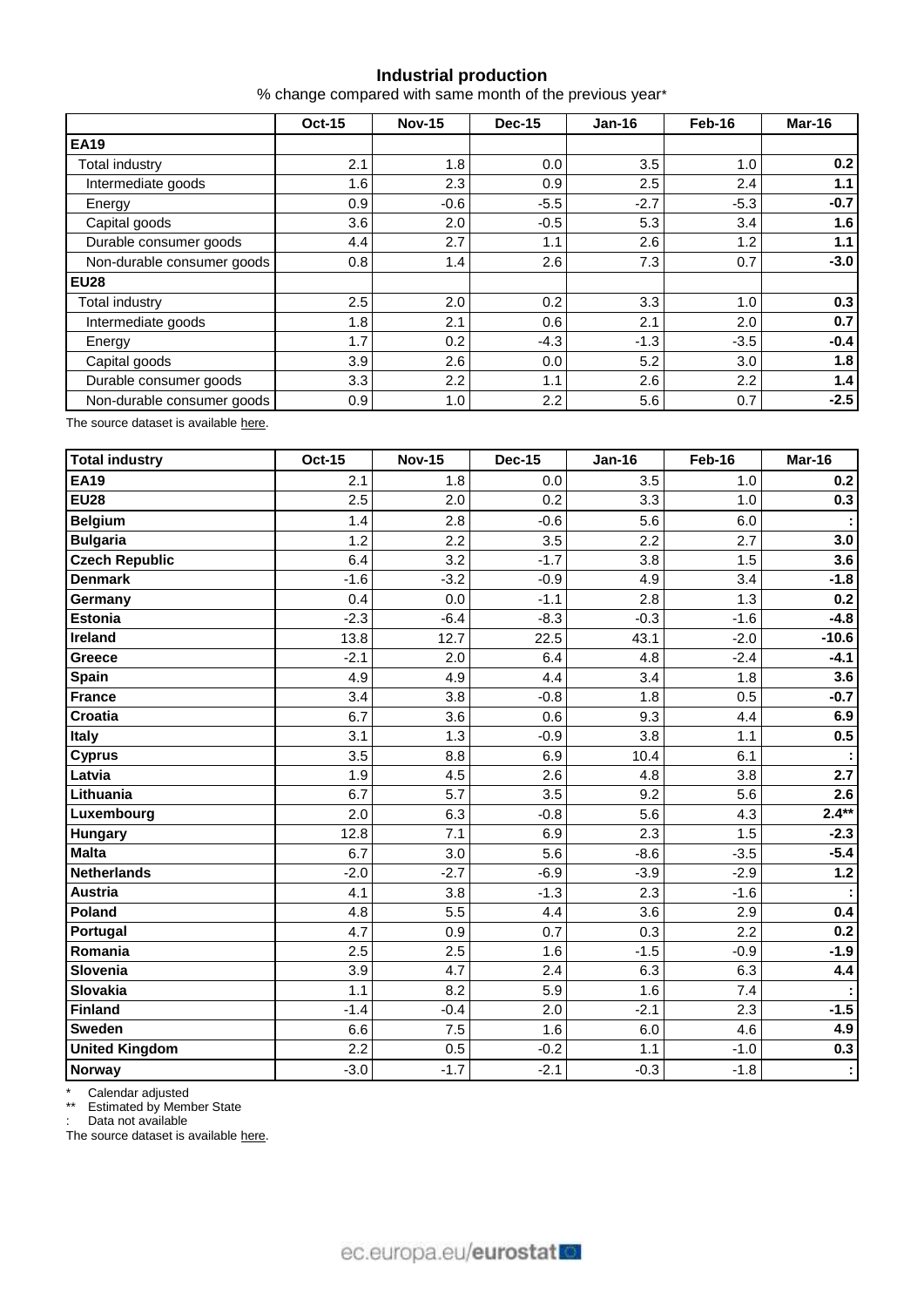## **Industrial production**

% change compared with same month of the previous year\*

|                            | <b>Oct-15</b> | <b>Nov-15</b> | Dec-15 | $Jan-16$ | Feb-16 | Mar-16 |  |
|----------------------------|---------------|---------------|--------|----------|--------|--------|--|
| <b>EA19</b>                |               |               |        |          |        |        |  |
| Total industry             | 2.1           | 1.8           | 0.0    | 3.5      | 1.0    | 0.2    |  |
| Intermediate goods         | 1.6           | 2.3           | 0.9    | 2.5      | 2.4    | 1.1    |  |
| Energy                     | 0.9           | $-0.6$        | $-5.5$ | $-2.7$   | $-5.3$ | $-0.7$ |  |
| Capital goods              | 3.6           | 2.0           | $-0.5$ | 5.3      | 3.4    | 1.6    |  |
| Durable consumer goods     | 4.4           | 2.7           | 1.1    | 2.6      | 1.2    | 1.1    |  |
| Non-durable consumer goods | 0.8           | 1.4           | 2.6    | 7.3      | 0.7    | $-3.0$ |  |
| <b>EU28</b>                |               |               |        |          |        |        |  |
| Total industry             | 2.5           | 2.0           | 0.2    | 3.3      | 1.0    | 0.3    |  |
| Intermediate goods         | 1.8           | 2.1           | 0.6    | 2.1      | 2.0    | 0.7    |  |
| Energy                     | 1.7           | 0.2           | $-4.3$ | $-1.3$   | $-3.5$ | $-0.4$ |  |
| Capital goods              | 3.9           | 2.6           | 0.0    | 5.2      | 3.0    | 1.8    |  |
| Durable consumer goods     | 3.3           | 2.2           | 1.1    | 2.6      | 2.2    | 1.4    |  |
| Non-durable consumer goods | 0.9           | 1.0           | 2.2    | 5.6      | 0.7    | $-2.5$ |  |

The source dataset is available [here.](http://appsso.eurostat.ec.europa.eu/nui/show.do?query=BOOKMARK_DS-069583_QID_-628F3FF0_UID_-3F171EB0&layout=TIME,C,X,0;GEO,L,Y,0;NACE_R2,L,Y,1;INDIC_BT,L,Z,0;S_ADJ,L,Z,1;UNIT,L,Z,2;INDICATORS,C,Z,3;&zSelection=DS-069583UNIT,PCH_PRE;DS-069583S_ADJ,SCA;DS-069583INDIC_BT,PROD;DS-069583INDICATORS,OBS_FLAG;&rankName1=UNIT_1_2_-1_2&rankName2=INDIC-BT_1_2_-1_2&rankName3=INDICATORS_1_2_-1_2&rankName4=S-ADJ_1_2_-1_2&rankName5=TIME_1_0_0_0&rankName6=GEO_1_0_0_1&rankName7=NACE-R2_1_2_1_1&sortR=ASC_-1_FIRST&sortC=ASC_-1_FIRST&rStp=&cStp=&rDCh=&cDCh=&rDM=true&cDM=true&footnes=false&empty=false&wai=false&time_mode=ROLLING&time_most_recent=true&lang=EN&cfo=%23%23%23%2C%23%23%23.%23%23%23)

| Total industry        | <b>Oct-15</b> | <b>Nov-15</b> | <b>Dec-15</b> | <b>Jan-16</b> | Feb-16 | Mar-16  |
|-----------------------|---------------|---------------|---------------|---------------|--------|---------|
| <b>EA19</b>           | 2.1           | 1.8           | 0.0           | 3.5           | 1.0    | 0.2     |
| <b>EU28</b>           | 2.5           | 2.0           | 0.2           | 3.3           | 1.0    | 0.3     |
| <b>Belgium</b>        | 1.4           | 2.8           | $-0.6$        | 5.6           | 6.0    |         |
| <b>Bulgaria</b>       | 1.2           | 2.2           | 3.5           | 2.2           | 2.7    | 3.0     |
| <b>Czech Republic</b> | 6.4           | 3.2           | $-1.7$        | 3.8           | 1.5    | 3.6     |
| <b>Denmark</b>        | $-1.6$        | $-3.2$        | $-0.9$        | 4.9           | 3.4    | $-1.8$  |
| Germany               | 0.4           | 0.0           | $-1.1$        | 2.8           | 1.3    | 0.2     |
| <b>Estonia</b>        | $-2.3$        | $-6.4$        | $-8.3$        | $-0.3$        | $-1.6$ | $-4.8$  |
| Ireland               | 13.8          | 12.7          | 22.5          | 43.1          | $-2.0$ | $-10.6$ |
| <b>Greece</b>         | $-2.1$        | 2.0           | 6.4           | 4.8           | $-2.4$ | $-4.1$  |
| <b>Spain</b>          | 4.9           | 4.9           | 4.4           | 3.4           | 1.8    | 3.6     |
| France                | 3.4           | 3.8           | $-0.8$        | 1.8           | 0.5    | $-0.7$  |
| <b>Croatia</b>        | 6.7           | 3.6           | 0.6           | 9.3           | 4.4    | 6.9     |
| <b>Italy</b>          | 3.1           | 1.3           | $-0.9$        | 3.8           | 1.1    | 0.5     |
| <b>Cyprus</b>         | 3.5           | 8.8           | 6.9           | 10.4          | 6.1    |         |
| Latvia                | 1.9           | 4.5           | 2.6           | 4.8           | 3.8    | 2.7     |
| Lithuania             | 6.7           | 5.7           | 3.5           | 9.2           | 5.6    | 2.6     |
| Luxembourg            | 2.0           | 6.3           | $-0.8$        | 5.6           | 4.3    | $2.4**$ |
| <b>Hungary</b>        | 12.8          | 7.1           | 6.9           | 2.3           | 1.5    | $-2.3$  |
| <b>Malta</b>          | 6.7           | 3.0           | 5.6           | $-8.6$        | $-3.5$ | $-5.4$  |
| <b>Netherlands</b>    | $-2.0$        | $-2.7$        | $-6.9$        | $-3.9$        | $-2.9$ | $1.2$   |
| <b>Austria</b>        | 4.1           | 3.8           | $-1.3$        | 2.3           | $-1.6$ |         |
| Poland                | 4.8           | 5.5           | 4.4           | 3.6           | 2.9    | 0.4     |
| Portugal              | 4.7           | 0.9           | 0.7           | 0.3           | 2.2    | 0.2     |
| Romania               | 2.5           | 2.5           | 1.6           | $-1.5$        | $-0.9$ | $-1.9$  |
| Slovenia              | 3.9           | 4.7           | 2.4           | 6.3           | 6.3    | 4.4     |
| Slovakia              | 1.1           | 8.2           | 5.9           | 1.6           | 7.4    |         |
| Finland               | $-1.4$        | $-0.4$        | 2.0           | $-2.1$        | 2.3    | $-1.5$  |
| <b>Sweden</b>         | 6.6           | 7.5           | 1.6           | 6.0           | 4.6    | 4.9     |
| <b>United Kingdom</b> | 2.2           | 0.5           | $-0.2$        | 1.1           | $-1.0$ | 0.3     |
| Norway                | $-3.0$        | $-1.7$        | $-2.1$        | $-0.3$        | $-1.8$ | ÷.      |

\* Calendar adjusted

\*\* Estimated by Member State

: Data not available

The source dataset is available [here.](http://appsso.eurostat.ec.europa.eu/nui/show.do?query=BOOKMARK_DS-069583_QID_690FAA53_UID_-3F171EB0&layout=TIME,C,X,0;GEO,L,Y,0;NACE_R2,L,Y,1;INDIC_BT,L,Z,0;S_ADJ,L,Z,1;UNIT,L,Z,2;INDICATORS,C,Z,3;&zSelection=DS-069583UNIT,PCH_SM;DS-069583S_ADJ,CA;DS-069583INDIC_BT,PROD;DS-069583INDICATORS,OBS_FLAG;&rankName1=UNIT_1_2_-1_2&rankName2=INDIC-BT_1_2_-1_2&rankName3=INDICATORS_1_2_-1_2&rankName4=S-ADJ_1_2_-1_2&rankName5=TIME_1_0_0_0&rankName6=GEO_1_2_0_1&rankName7=NACE-R2_1_2_1_1&sortC=ASC_-1_FIRST&rStp=&cStp=&rDCh=&cDCh=&rDM=true&cDM=true&footnes=false&empty=false&wai=false&time_mode=ROLLING&time_most_recent=true&lang=EN&cfo=%23%23%23%2C%23%23%23.%23%23%23)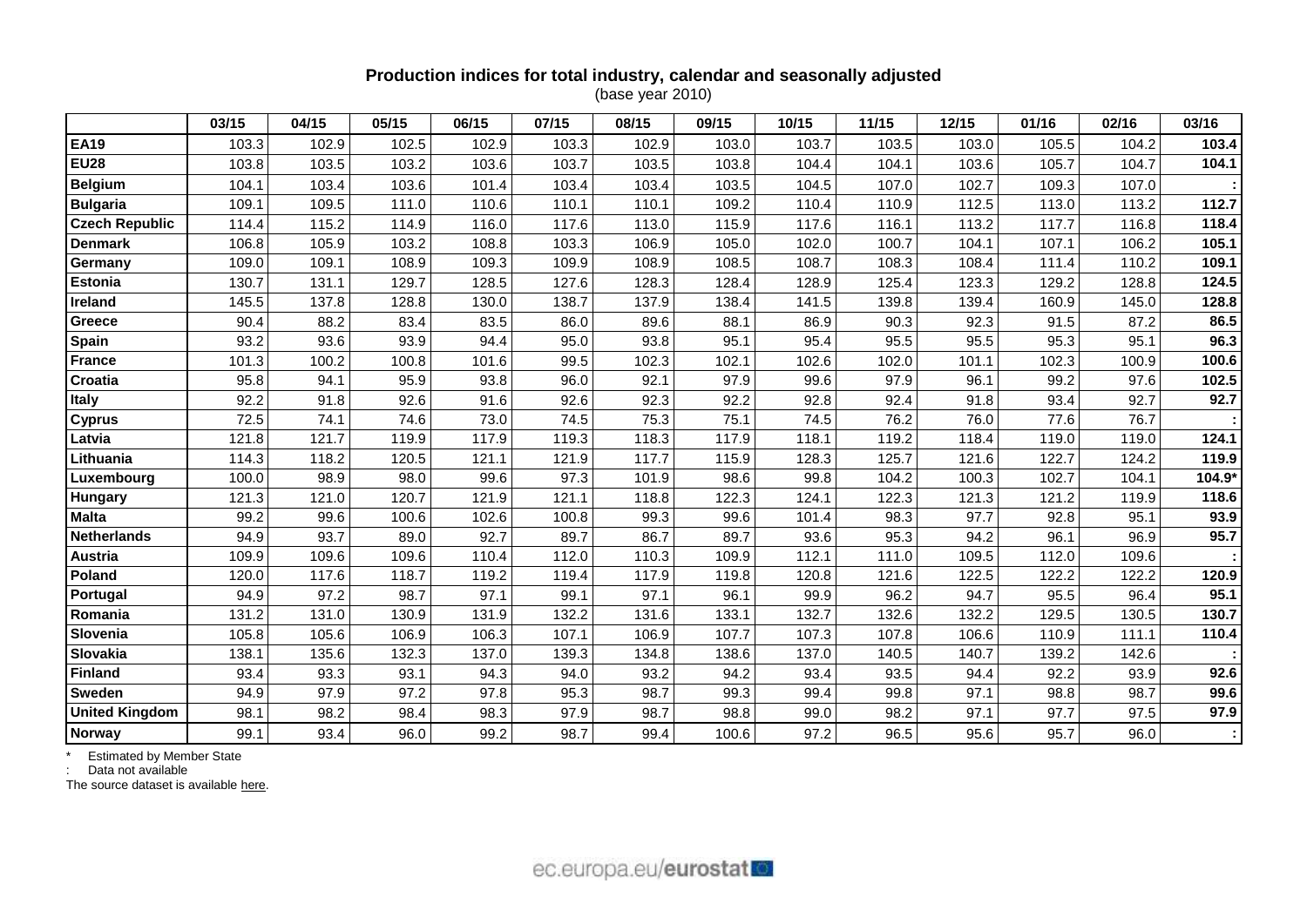# **Production indices for total industry, calendar and seasonally adjusted**

(base year 2010)

|                       | 03/15 | 04/15 | 05/15 | 06/15 | 07/15 | 08/15 | 09/15 | 10/15 | 11/15 | 12/15 | 01/16 | 02/16 | 03/16  |
|-----------------------|-------|-------|-------|-------|-------|-------|-------|-------|-------|-------|-------|-------|--------|
| <b>EA19</b>           | 103.3 | 102.9 | 102.5 | 102.9 | 103.3 | 102.9 | 103.0 | 103.7 | 103.5 | 103.0 | 105.5 | 104.2 | 103.4  |
| <b>EU28</b>           | 103.8 | 103.5 | 103.2 | 103.6 | 103.7 | 103.5 | 103.8 | 104.4 | 104.1 | 103.6 | 105.7 | 104.7 | 104.1  |
| <b>Belgium</b>        | 104.1 | 103.4 | 103.6 | 101.4 | 103.4 | 103.4 | 103.5 | 104.5 | 107.0 | 102.7 | 109.3 | 107.0 |        |
| <b>Bulgaria</b>       | 109.1 | 109.5 | 111.0 | 110.6 | 110.1 | 110.1 | 109.2 | 110.4 | 110.9 | 112.5 | 113.0 | 113.2 | 112.7  |
| <b>Czech Republic</b> | 114.4 | 115.2 | 114.9 | 116.0 | 117.6 | 113.0 | 115.9 | 117.6 | 116.1 | 113.2 | 117.7 | 116.8 | 118.4  |
| <b>Denmark</b>        | 106.8 | 105.9 | 103.2 | 108.8 | 103.3 | 106.9 | 105.0 | 102.0 | 100.7 | 104.1 | 107.1 | 106.2 | 105.1  |
| Germany               | 109.0 | 109.1 | 108.9 | 109.3 | 109.9 | 108.9 | 108.5 | 108.7 | 108.3 | 108.4 | 111.4 | 110.2 | 109.1  |
| <b>Estonia</b>        | 130.7 | 131.1 | 129.7 | 128.5 | 127.6 | 128.3 | 128.4 | 128.9 | 125.4 | 123.3 | 129.2 | 128.8 | 124.5  |
| Ireland               | 145.5 | 137.8 | 128.8 | 130.0 | 138.7 | 137.9 | 138.4 | 141.5 | 139.8 | 139.4 | 160.9 | 145.0 | 128.8  |
| Greece                | 90.4  | 88.2  | 83.4  | 83.5  | 86.0  | 89.6  | 88.1  | 86.9  | 90.3  | 92.3  | 91.5  | 87.2  | 86.5   |
| Spain                 | 93.2  | 93.6  | 93.9  | 94.4  | 95.0  | 93.8  | 95.1  | 95.4  | 95.5  | 95.5  | 95.3  | 95.1  | 96.3   |
| <b>France</b>         | 101.3 | 100.2 | 100.8 | 101.6 | 99.5  | 102.3 | 102.1 | 102.6 | 102.0 | 101.1 | 102.3 | 100.9 | 100.6  |
| Croatia               | 95.8  | 94.1  | 95.9  | 93.8  | 96.0  | 92.1  | 97.9  | 99.6  | 97.9  | 96.1  | 99.2  | 97.6  | 102.5  |
| <b>Italy</b>          | 92.2  | 91.8  | 92.6  | 91.6  | 92.6  | 92.3  | 92.2  | 92.8  | 92.4  | 91.8  | 93.4  | 92.7  | 92.7   |
| <b>Cyprus</b>         | 72.5  | 74.1  | 74.6  | 73.0  | 74.5  | 75.3  | 75.1  | 74.5  | 76.2  | 76.0  | 77.6  | 76.7  |        |
| Latvia                | 121.8 | 121.7 | 119.9 | 117.9 | 119.3 | 118.3 | 117.9 | 118.1 | 119.2 | 118.4 | 119.0 | 119.0 | 124.1  |
| Lithuania             | 114.3 | 118.2 | 120.5 | 121.1 | 121.9 | 117.7 | 115.9 | 128.3 | 125.7 | 121.6 | 122.7 | 124.2 | 119.9  |
| Luxembourg            | 100.0 | 98.9  | 98.0  | 99.6  | 97.3  | 101.9 | 98.6  | 99.8  | 104.2 | 100.3 | 102.7 | 104.1 | 104.9* |
| Hungary               | 121.3 | 121.0 | 120.7 | 121.9 | 121.1 | 118.8 | 122.3 | 124.1 | 122.3 | 121.3 | 121.2 | 119.9 | 118.6  |
| <b>Malta</b>          | 99.2  | 99.6  | 100.6 | 102.6 | 100.8 | 99.3  | 99.6  | 101.4 | 98.3  | 97.7  | 92.8  | 95.1  | 93.9   |
| <b>Netherlands</b>    | 94.9  | 93.7  | 89.0  | 92.7  | 89.7  | 86.7  | 89.7  | 93.6  | 95.3  | 94.2  | 96.1  | 96.9  | 95.7   |
| Austria               | 109.9 | 109.6 | 109.6 | 110.4 | 112.0 | 110.3 | 109.9 | 112.1 | 111.0 | 109.5 | 112.0 | 109.6 |        |
| Poland                | 120.0 | 117.6 | 118.7 | 119.2 | 119.4 | 117.9 | 119.8 | 120.8 | 121.6 | 122.5 | 122.2 | 122.2 | 120.9  |
| Portugal              | 94.9  | 97.2  | 98.7  | 97.1  | 99.1  | 97.1  | 96.1  | 99.9  | 96.2  | 94.7  | 95.5  | 96.4  | 95.1   |
| Romania               | 131.2 | 131.0 | 130.9 | 131.9 | 132.2 | 131.6 | 133.1 | 132.7 | 132.6 | 132.2 | 129.5 | 130.5 | 130.7  |
| Slovenia              | 105.8 | 105.6 | 106.9 | 106.3 | 107.1 | 106.9 | 107.7 | 107.3 | 107.8 | 106.6 | 110.9 | 111.1 | 110.4  |
| Slovakia              | 138.1 | 135.6 | 132.3 | 137.0 | 139.3 | 134.8 | 138.6 | 137.0 | 140.5 | 140.7 | 139.2 | 142.6 |        |
| <b>Finland</b>        | 93.4  | 93.3  | 93.1  | 94.3  | 94.0  | 93.2  | 94.2  | 93.4  | 93.5  | 94.4  | 92.2  | 93.9  | 92.6   |
| <b>Sweden</b>         | 94.9  | 97.9  | 97.2  | 97.8  | 95.3  | 98.7  | 99.3  | 99.4  | 99.8  | 97.1  | 98.8  | 98.7  | 99.6   |
| <b>United Kingdom</b> | 98.1  | 98.2  | 98.4  | 98.3  | 97.9  | 98.7  | 98.8  | 99.0  | 98.2  | 97.1  | 97.7  | 97.5  | 97.9   |
| <b>Norway</b>         | 99.1  | 93.4  | 96.0  | 99.2  | 98.7  | 99.4  | 100.6 | 97.2  | 96.5  | 95.6  | 95.7  | 96.0  |        |

\* Estimated by Member State

: Data not available

The source dataset is available [here.](http://appsso.eurostat.ec.europa.eu/nui/show.do?query=BOOKMARK_DS-069583_QID_24071044_UID_-3F171EB0&layout=TIME,C,X,0;GEO,L,Y,0;INDIC_BT,L,Z,0;S_ADJ,L,Z,1;UNIT,L,Z,2;NACE_R2,L,Z,3;INDICATORS,C,Z,4;&zSelection=DS-069583UNIT,I10;DS-069583S_ADJ,SCA;DS-069583INDIC_BT,PROD;DS-069583INDICATORS,OBS_FLAG;DS-069583NACE_R2,B-D;&rankName1=UNIT_1_2_-1_2&rankName2=INDIC-BT_1_2_-1_2&rankName3=INDICATORS_1_2_-1_2&rankName4=S-ADJ_1_2_-1_2&rankName5=NACE-R2_1_2_1_1&rankName6=TIME_1_0_0_0&rankName7=GEO_1_2_0_1&sortC=ASC_-1_FIRST&rStp=&cStp=&rDCh=&cDCh=&rDM=true&cDM=true&footnes=false&empty=false&wai=false&time_mode=ROLLING&time_most_recent=true&lang=EN&cfo=%23%23%23%2C%23%23%23.%23%23%23)